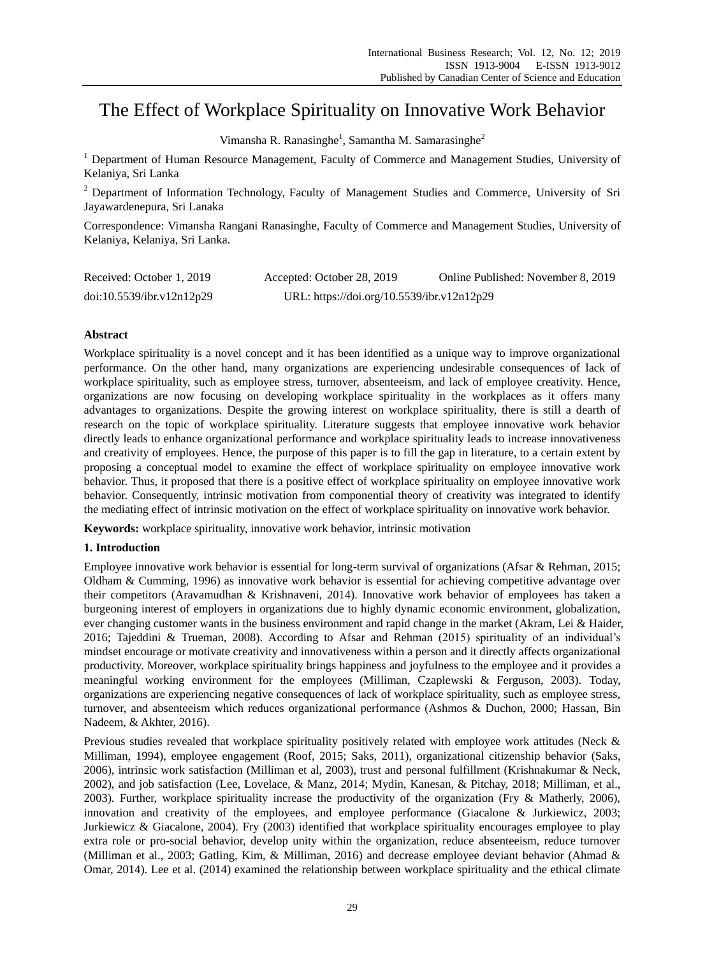# The Effect of Workplace Spirituality on Innovative Work Behavior

Vimansha R. Ranasinghe<sup>1</sup>, Samantha M. Samarasinghe<sup>2</sup>

<sup>1</sup> Department of Human Resource Management, Faculty of Commerce and Management Studies, University of Kelaniya, Sri Lanka

<sup>2</sup> Department of Information Technology, Faculty of Management Studies and Commerce, University of Sri Jayawardenepura, Sri Lanaka

Correspondence: Vimansha Rangani Ranasinghe, Faculty of Commerce and Management Studies, University of Kelaniya, Kelaniya, Sri Lanka.

| Received: October 1, 2019 | Accepted: October 28, 2019                 | Online Published: November 8, 2019 |
|---------------------------|--------------------------------------------|------------------------------------|
| doi:10.5539/ibr.v12n12p29 | URL: https://doi.org/10.5539/ibr.v12n12p29 |                                    |

# **Abstract**

Workplace spirituality is a novel concept and it has been identified as a unique way to improve organizational performance. On the other hand, many organizations are experiencing undesirable consequences of lack of workplace spirituality, such as employee stress, turnover, absenteeism, and lack of employee creativity. Hence, organizations are now focusing on developing workplace spirituality in the workplaces as it offers many advantages to organizations. Despite the growing interest on workplace spirituality, there is still a dearth of research on the topic of workplace spirituality. Literature suggests that employee innovative work behavior directly leads to enhance organizational performance and workplace spirituality leads to increase innovativeness and creativity of employees. Hence, the purpose of this paper is to fill the gap in literature, to a certain extent by proposing a conceptual model to examine the effect of workplace spirituality on employee innovative work behavior. Thus, it proposed that there is a positive effect of workplace spirituality on employee innovative work behavior. Consequently, intrinsic motivation from componential theory of creativity was integrated to identify the mediating effect of intrinsic motivation on the effect of workplace spirituality on innovative work behavior.

**Keywords:** workplace spirituality, innovative work behavior, intrinsic motivation

# **1. Introduction**

Employee innovative work behavior is essential for long-term survival of organizations (Afsar & Rehman, 2015; Oldham & Cumming, 1996) as innovative work behavior is essential for achieving competitive advantage over their competitors (Aravamudhan & Krishnaveni, 2014). Innovative work behavior of employees has taken a burgeoning interest of employers in organizations due to highly dynamic economic environment, globalization, ever changing customer wants in the business environment and rapid change in the market (Akram, Lei & Haider, 2016; Tajeddini & Trueman, 2008). According to Afsar and Rehman (2015) spirituality of an individual's mindset encourage or motivate creativity and innovativeness within a person and it directly affects organizational productivity. Moreover, workplace spirituality brings happiness and joyfulness to the employee and it provides a meaningful working environment for the employees (Milliman, Czaplewski & Ferguson, 2003). Today, organizations are experiencing negative consequences of lack of workplace spirituality, such as employee stress, turnover, and absenteeism which reduces organizational performance (Ashmos & Duchon, 2000; Hassan, Bin Nadeem, & Akhter, 2016).

Previous studies revealed that workplace spirituality positively related with employee work attitudes (Neck & Milliman, 1994), employee engagement (Roof, 2015; Saks, 2011), organizational citizenship behavior (Saks, 2006), intrinsic work satisfaction (Milliman et al, 2003), trust and personal fulfillment (Krishnakumar & Neck, 2002), and job satisfaction (Lee, Lovelace, & Manz, 2014; Mydin, Kanesan, & Pitchay, 2018; Milliman, et al., 2003). Further, workplace spirituality increase the productivity of the organization (Fry & Matherly, 2006), innovation and creativity of the employees, and employee performance (Giacalone & Jurkiewicz, 2003; Jurkiewicz & Giacalone, 2004). Fry (2003) identified that workplace spirituality encourages employee to play extra role or pro-social behavior, develop unity within the organization, reduce absenteeism, reduce turnover (Milliman et al., 2003; Gatling, Kim, & Milliman, 2016) and decrease employee deviant behavior (Ahmad & Omar, 2014). Lee et al. (2014) examined the relationship between workplace spirituality and the ethical climate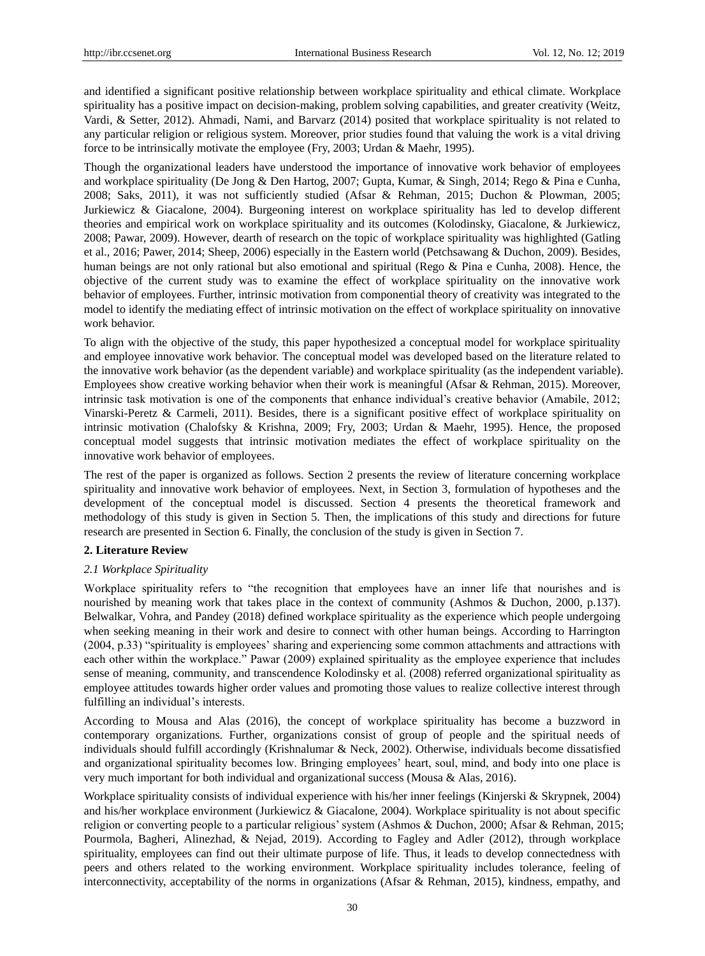and identified a significant positive relationship between workplace spirituality and ethical climate. Workplace spirituality has a positive impact on decision-making, problem solving capabilities, and greater creativity (Weitz, Vardi, & Setter, 2012). Ahmadi, Nami, and Barvarz (2014) posited that workplace spirituality is not related to any particular religion or religious system. Moreover, prior studies found that valuing the work is a vital driving force to be intrinsically motivate the employee (Fry, 2003; Urdan & Maehr, 1995).

Though the organizational leaders have understood the importance of innovative work behavior of employees and workplace spirituality (De Jong & Den Hartog, 2007; Gupta, Kumar, & Singh, 2014; Rego & Pina e Cunha, 2008; Saks, 2011), it was not sufficiently studied (Afsar & Rehman, 2015; Duchon & Plowman, 2005; Jurkiewicz & Giacalone, 2004). Burgeoning interest on workplace spirituality has led to develop different theories and empirical work on workplace spirituality and its outcomes (Kolodinsky, Giacalone, & Jurkiewicz, 2008; Pawar, 2009). However, dearth of research on the topic of workplace spirituality was highlighted (Gatling et al., 2016; Pawer, 2014; Sheep, 2006) especially in the Eastern world (Petchsawang & Duchon, 2009). Besides, human beings are not only rational but also emotional and spiritual (Rego & Pina e Cunha, 2008). Hence, the objective of the current study was to examine the effect of workplace spirituality on the innovative work behavior of employees. Further, intrinsic motivation from componential theory of creativity was integrated to the model to identify the mediating effect of intrinsic motivation on the effect of workplace spirituality on innovative work behavior.

To align with the objective of the study, this paper hypothesized a conceptual model for workplace spirituality and employee innovative work behavior. The conceptual model was developed based on the literature related to the innovative work behavior (as the dependent variable) and workplace spirituality (as the independent variable). Employees show creative working behavior when their work is meaningful (Afsar & Rehman, 2015). Moreover, intrinsic task motivation is one of the components that enhance individual's creative behavior (Amabile, 2012; Vinarski-Peretz & Carmeli, 2011). Besides, there is a significant positive effect of workplace spirituality on intrinsic motivation (Chalofsky & Krishna, 2009; Fry, 2003; Urdan & Maehr, 1995). Hence, the proposed conceptual model suggests that intrinsic motivation mediates the effect of workplace spirituality on the innovative work behavior of employees.

The rest of the paper is organized as follows. Section 2 presents the review of literature concerning workplace spirituality and innovative work behavior of employees. Next, in Section 3, formulation of hypotheses and the development of the conceptual model is discussed. Section 4 presents the theoretical framework and methodology of this study is given in Section 5. Then, the implications of this study and directions for future research are presented in Section 6. Finally, the conclusion of the study is given in Section 7.

#### **2. Literature Review**

## *2.1 Workplace Spirituality*

Workplace spirituality refers to "the recognition that employees have an inner life that nourishes and is nourished by meaning work that takes place in the context of community (Ashmos & Duchon, 2000, p.137). Belwalkar, Vohra, and Pandey (2018) defined workplace spirituality as the experience which people undergoing when seeking meaning in their work and desire to connect with other human beings. According to Harrington (2004, p.33) "spirituality is employees' sharing and experiencing some common attachments and attractions with each other within the workplace." Pawar (2009) explained spirituality as the employee experience that includes sense of meaning, community, and transcendence Kolodinsky et al. (2008) referred organizational spirituality as employee attitudes towards higher order values and promoting those values to realize collective interest through fulfilling an individual's interests.

According to Mousa and Alas (2016), the concept of workplace spirituality has become a buzzword in contemporary organizations. Further, organizations consist of group of people and the spiritual needs of individuals should fulfill accordingly (Krishnalumar & Neck, 2002). Otherwise, individuals become dissatisfied and organizational spirituality becomes low. Bringing employees' heart, soul, mind, and body into one place is very much important for both individual and organizational success (Mousa & Alas, 2016).

Workplace spirituality consists of individual experience with his/her inner feelings (Kinjerski & Skrypnek, 2004) and his/her workplace environment (Jurkiewicz & Giacalone, 2004). Workplace spirituality is not about specific religion or converting people to a particular religious' system (Ashmos & Duchon, 2000; Afsar & Rehman, 2015; Pourmola, Bagheri, Alinezhad, & Nejad, 2019). According to Fagley and Adler (2012), through workplace spirituality, employees can find out their ultimate purpose of life. Thus, it leads to develop connectedness with peers and others related to the working environment. Workplace spirituality includes tolerance, feeling of interconnectivity, acceptability of the norms in organizations (Afsar & Rehman, 2015), kindness, empathy, and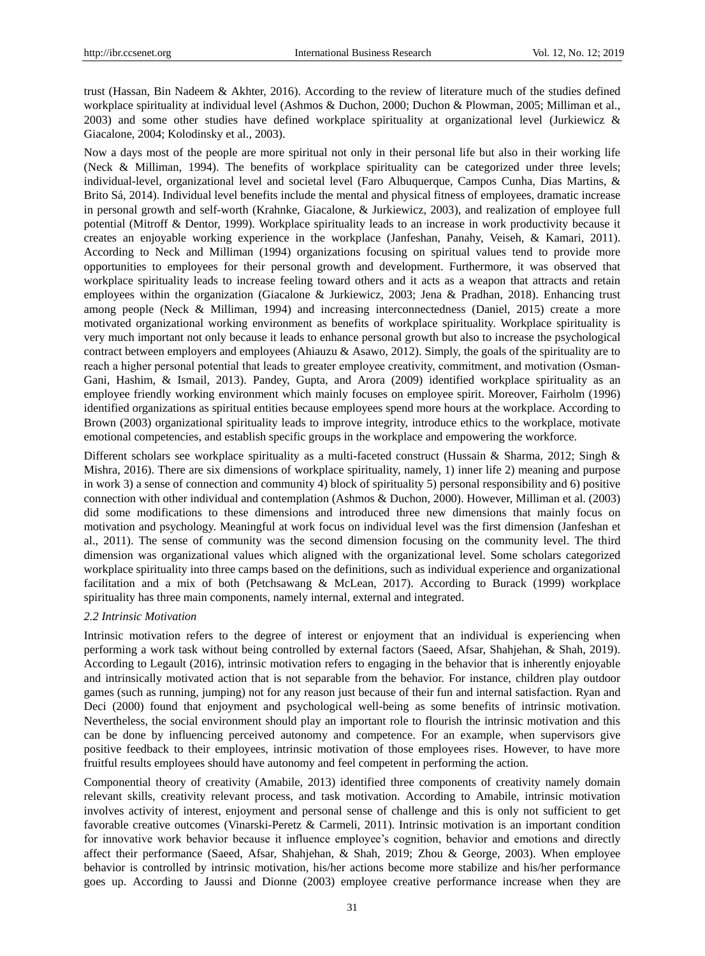trust (Hassan, Bin Nadeem & Akhter, 2016). According to the review of literature much of the studies defined workplace spirituality at individual level (Ashmos & Duchon, 2000; Duchon & Plowman, 2005; Milliman et al., 2003) and some other studies have defined workplace spirituality at organizational level (Jurkiewicz & Giacalone, 2004; Kolodinsky et al., 2003).

Now a days most of the people are more spiritual not only in their personal life but also in their working life (Neck & Milliman, 1994). The benefits of workplace spirituality can be categorized under three levels; individual-level, organizational level and societal level (Faro Albuquerque, Campos Cunha, Dias Martins, & Brito Sá, 2014). Individual level benefits include the mental and physical fitness of employees, dramatic increase in personal growth and self-worth (Krahnke, Giacalone, & Jurkiewicz, 2003), and realization of employee full potential (Mitroff & Dentor, 1999). Workplace spirituality leads to an increase in work productivity because it creates an enjoyable working experience in the workplace (Janfeshan, Panahy, Veiseh, & Kamari, 2011). According to Neck and Milliman (1994) organizations focusing on spiritual values tend to provide more opportunities to employees for their personal growth and development. Furthermore, it was observed that workplace spirituality leads to increase feeling toward others and it acts as a weapon that attracts and retain employees within the organization (Giacalone & Jurkiewicz, 2003; Jena & Pradhan, 2018). Enhancing trust among people (Neck & Milliman, 1994) and increasing interconnectedness (Daniel, 2015) create a more motivated organizational working environment as benefits of workplace spirituality. Workplace spirituality is very much important not only because it leads to enhance personal growth but also to increase the psychological contract between employers and employees (Ahiauzu & Asawo, 2012). Simply, the goals of the spirituality are to reach a higher personal potential that leads to greater employee creativity, commitment, and motivation (Osman-Gani, Hashim, & Ismail, 2013). Pandey, Gupta, and Arora (2009) identified workplace spirituality as an employee friendly working environment which mainly focuses on employee spirit. Moreover, Fairholm (1996) identified organizations as spiritual entities because employees spend more hours at the workplace. According to Brown (2003) organizational spirituality leads to improve integrity, introduce ethics to the workplace, motivate emotional competencies, and establish specific groups in the workplace and empowering the workforce.

Different scholars see workplace spirituality as a multi-faceted construct (Hussain & Sharma, 2012; Singh & Mishra, 2016). There are six dimensions of workplace spirituality, namely, 1) inner life 2) meaning and purpose in work 3) a sense of connection and community 4) block of spirituality 5) personal responsibility and 6) positive connection with other individual and contemplation (Ashmos & Duchon, 2000). However, Milliman et al. (2003) did some modifications to these dimensions and introduced three new dimensions that mainly focus on motivation and psychology. Meaningful at work focus on individual level was the first dimension (Janfeshan et al., 2011). The sense of community was the second dimension focusing on the community level. The third dimension was organizational values which aligned with the organizational level. Some scholars categorized workplace spirituality into three camps based on the definitions, such as individual experience and organizational facilitation and a mix of both (Petchsawang & McLean, 2017). According to Burack (1999) workplace spirituality has three main components, namely internal, external and integrated.

#### *2.2 Intrinsic Motivation*

Intrinsic motivation refers to the degree of interest or enjoyment that an individual is experiencing when performing a work task without being controlled by external factors (Saeed, Afsar, Shahjehan, & Shah, 2019). According to Legault (2016), intrinsic motivation refers to engaging in the behavior that is inherently enjoyable and intrinsically motivated action that is not separable from the behavior. For instance, children play outdoor games (such as running, jumping) not for any reason just because of their fun and internal satisfaction. Ryan and Deci (2000) found that enjoyment and psychological well-being as some benefits of intrinsic motivation. Nevertheless, the social environment should play an important role to flourish the intrinsic motivation and this can be done by influencing perceived autonomy and competence. For an example, when supervisors give positive feedback to their employees, intrinsic motivation of those employees rises. However, to have more fruitful results employees should have autonomy and feel competent in performing the action.

Componential theory of creativity (Amabile, 2013) identified three components of creativity namely domain relevant skills, creativity relevant process, and task motivation. According to Amabile, intrinsic motivation involves activity of interest, enjoyment and personal sense of challenge and this is only not sufficient to get favorable creative outcomes (Vinarski-Peretz & Carmeli, 2011). Intrinsic motivation is an important condition for innovative work behavior because it influence employee's cognition, behavior and emotions and directly affect their performance (Saeed, Afsar, Shahjehan, & Shah, 2019; Zhou & George, 2003). When employee behavior is controlled by intrinsic motivation, his/her actions become more stabilize and his/her performance goes up. According to Jaussi and Dionne (2003) employee creative performance increase when they are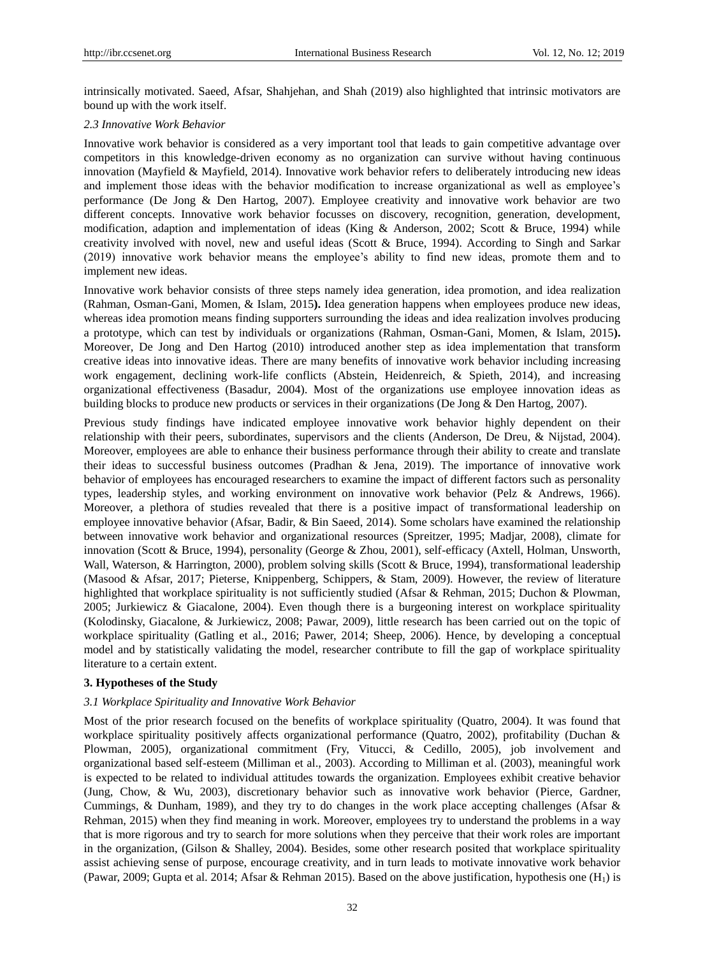intrinsically motivated. Saeed, Afsar, Shahjehan, and Shah (2019) also highlighted that intrinsic motivators are bound up with the work itself.

#### *2.3 Innovative Work Behavior*

Innovative work behavior is considered as a very important tool that leads to gain competitive advantage over competitors in this knowledge-driven economy as no organization can survive without having continuous innovation (Mayfield & Mayfield, 2014). Innovative work behavior refers to deliberately introducing new ideas and implement those ideas with the behavior modification to increase organizational as well as employee's performance (De Jong & Den Hartog, 2007). Employee creativity and innovative work behavior are two different concepts. Innovative work behavior focusses on discovery, recognition, generation, development, modification, adaption and implementation of ideas (King & Anderson, 2002; Scott & Bruce, 1994) while creativity involved with novel, new and useful ideas (Scott & Bruce, 1994). According to Singh and Sarkar (2019) innovative work behavior means the employee's ability to find new ideas, promote them and to implement new ideas.

Innovative work behavior consists of three steps namely idea generation, idea promotion, and idea realization (Rahman, Osman-Gani, Momen, & Islam, 2015**).** Idea generation happens when employees produce new ideas, whereas idea promotion means finding supporters surrounding the ideas and idea realization involves producing a prototype, which can test by individuals or organizations (Rahman, Osman-Gani, Momen, & Islam, 2015**).** Moreover, De Jong and Den Hartog (2010) introduced another step as idea implementation that transform creative ideas into innovative ideas. There are many benefits of innovative work behavior including increasing work engagement, declining work-life conflicts (Abstein, Heidenreich, & Spieth, 2014), and increasing organizational effectiveness (Basadur, 2004). Most of the organizations use employee innovation ideas as building blocks to produce new products or services in their organizations (De Jong & Den Hartog, 2007).

Previous study findings have indicated employee innovative work behavior highly dependent on their relationship with their peers, subordinates, supervisors and the clients (Anderson, De Dreu, & Nijstad, 2004). Moreover, employees are able to enhance their business performance through their ability to create and translate their ideas to successful business outcomes (Pradhan & Jena, 2019). The importance of innovative work behavior of employees has encouraged researchers to examine the impact of different factors such as personality types, leadership styles, and working environment on innovative work behavior (Pelz & Andrews, 1966). Moreover, a plethora of studies revealed that there is a positive impact of transformational leadership on employee innovative behavior (Afsar, Badir, & Bin Saeed, 2014). Some scholars have examined the relationship between innovative work behavior and organizational resources (Spreitzer, 1995; Madjar, 2008), climate for innovation (Scott & Bruce, 1994), personality (George & Zhou, 2001), self-efficacy (Axtell, Holman, Unsworth, Wall, Waterson, & Harrington, 2000), problem solving skills (Scott & Bruce, 1994), transformational leadership (Masood & Afsar, 2017; Pieterse, Knippenberg, Schippers, & Stam, 2009). However, the review of literature highlighted that workplace spirituality is not sufficiently studied (Afsar & Rehman, 2015; Duchon & Plowman, 2005; Jurkiewicz & Giacalone, 2004). Even though there is a burgeoning interest on workplace spirituality (Kolodinsky, Giacalone, & Jurkiewicz, 2008; Pawar, 2009), little research has been carried out on the topic of workplace spirituality (Gatling et al., 2016; Pawer, 2014; Sheep, 2006). Hence, by developing a conceptual model and by statistically validating the model, researcher contribute to fill the gap of workplace spirituality literature to a certain extent.

#### **3. Hypotheses of the Study**

#### *3.1 Workplace Spirituality and Innovative Work Behavior*

Most of the prior research focused on the benefits of workplace spirituality (Quatro, 2004). It was found that workplace spirituality positively affects organizational performance (Quatro, 2002), profitability (Duchan & Plowman, 2005), organizational commitment (Fry, Vitucci, & Cedillo, 2005), job involvement and organizational based self-esteem (Milliman et al., 2003). According to Milliman et al. (2003), meaningful work is expected to be related to individual attitudes towards the organization. Employees exhibit creative behavior (Jung, Chow, & Wu, 2003), discretionary behavior such as innovative work behavior (Pierce, Gardner, Cummings, & Dunham, 1989), and they try to do changes in the work place accepting challenges (Afsar & Rehman, 2015) when they find meaning in work. Moreover, employees try to understand the problems in a way that is more rigorous and try to search for more solutions when they perceive that their work roles are important in the organization, (Gilson & Shalley, 2004). Besides, some other research posited that workplace spirituality assist achieving sense of purpose, encourage creativity, and in turn leads to motivate innovative work behavior (Pawar, 2009; Gupta et al. 2014; Afsar & Rehman 2015). Based on the above justification, hypothesis one  $(H_1)$  is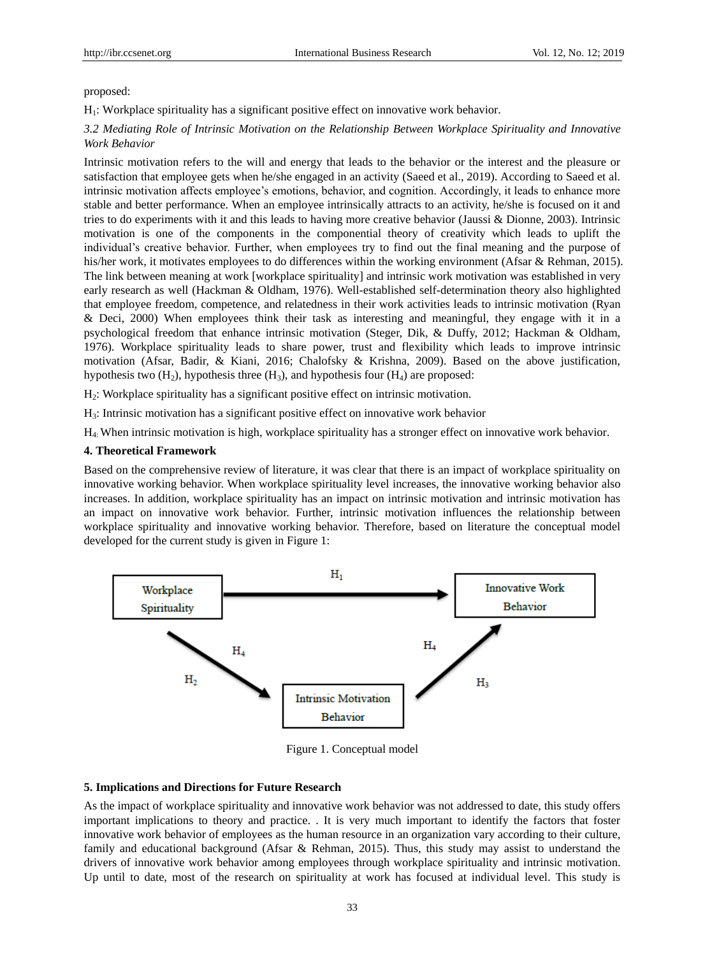proposed:

H1: Workplace spirituality has a significant positive effect on innovative work behavior.

# *3.2 Mediating Role of Intrinsic Motivation on the Relationship Between Workplace Spirituality and Innovative Work Behavior*

Intrinsic motivation refers to the will and energy that leads to the behavior or the interest and the pleasure or satisfaction that employee gets when he/she engaged in an activity (Saeed et al., 2019). According to Saeed et al. intrinsic motivation affects employee's emotions, behavior, and cognition. Accordingly, it leads to enhance more stable and better performance. When an employee intrinsically attracts to an activity, he/she is focused on it and tries to do experiments with it and this leads to having more creative behavior (Jaussi & Dionne, 2003). Intrinsic motivation is one of the components in the componential theory of creativity which leads to uplift the individual's creative behavior. Further, when employees try to find out the final meaning and the purpose of his/her work, it motivates employees to do differences within the working environment (Afsar & Rehman, 2015). The link between meaning at work [workplace spirituality] and intrinsic work motivation was established in very early research as well (Hackman & Oldham, 1976). Well-established self-determination theory also highlighted that employee freedom, competence, and relatedness in their work activities leads to intrinsic motivation (Ryan & Deci, 2000) When employees think their task as interesting and meaningful, they engage with it in a psychological freedom that enhance intrinsic motivation (Steger, Dik, & Duffy, 2012; Hackman & Oldham, 1976). Workplace spirituality leads to share power, trust and flexibility which leads to improve intrinsic motivation (Afsar, Badir, & Kiani, 2016; Chalofsky & Krishna, 2009). Based on the above justification, hypothesis two  $(H_2)$ , hypothesis three  $(H_3)$ , and hypothesis four  $(H_4)$  are proposed:

H2: Workplace spirituality has a significant positive effect on intrinsic motivation.

H3: Intrinsic motivation has a significant positive effect on innovative work behavior

H4: When intrinsic motivation is high, workplace spirituality has a stronger effect on innovative work behavior.

#### **4. Theoretical Framework**

Based on the comprehensive review of literature, it was clear that there is an impact of workplace spirituality on innovative working behavior. When workplace spirituality level increases, the innovative working behavior also increases. In addition, workplace spirituality has an impact on intrinsic motivation and intrinsic motivation has an impact on innovative work behavior. Further, intrinsic motivation influences the relationship between workplace spirituality and innovative working behavior. Therefore, based on literature the conceptual model developed for the current study is given in Figure 1:



Figure 1. Conceptual model

#### **5. Implications and Directions for Future Research**

As the impact of workplace spirituality and innovative work behavior was not addressed to date, this study offers important implications to theory and practice. . It is very much important to identify the factors that foster innovative work behavior of employees as the human resource in an organization vary according to their culture, family and educational background (Afsar & Rehman, 2015). Thus, this study may assist to understand the drivers of innovative work behavior among employees through workplace spirituality and intrinsic motivation. Up until to date, most of the research on spirituality at work has focused at individual level. This study is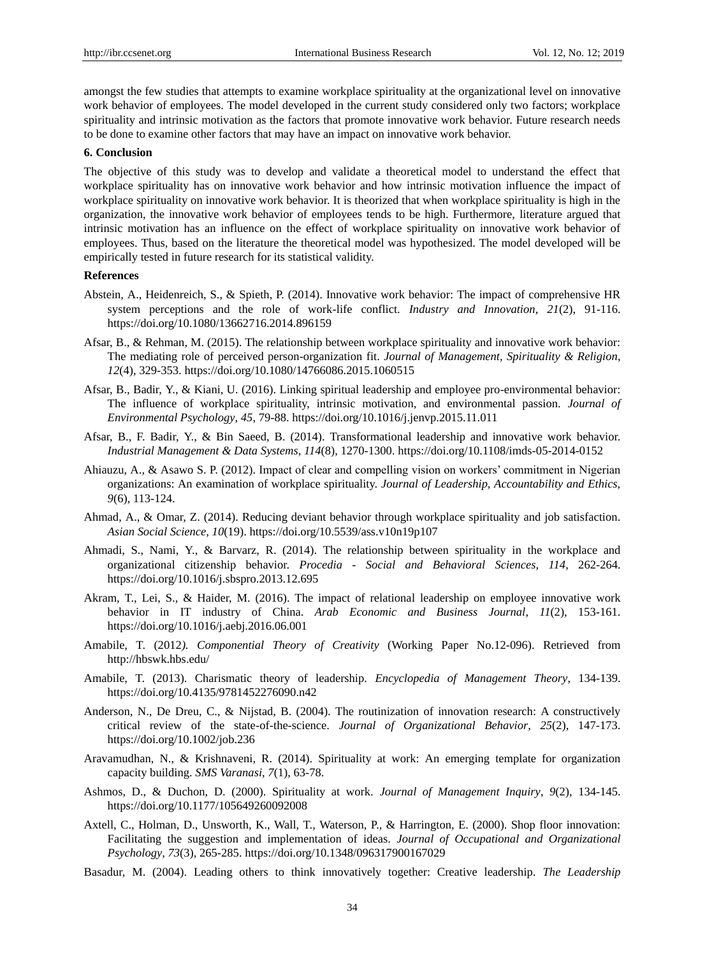amongst the few studies that attempts to examine workplace spirituality at the organizational level on innovative work behavior of employees. The model developed in the current study considered only two factors; workplace spirituality and intrinsic motivation as the factors that promote innovative work behavior. Future research needs to be done to examine other factors that may have an impact on innovative work behavior.

#### **6. Conclusion**

The objective of this study was to develop and validate a theoretical model to understand the effect that workplace spirituality has on innovative work behavior and how intrinsic motivation influence the impact of workplace spirituality on innovative work behavior. It is theorized that when workplace spirituality is high in the organization, the innovative work behavior of employees tends to be high. Furthermore, literature argued that intrinsic motivation has an influence on the effect of workplace spirituality on innovative work behavior of employees. Thus, based on the literature the theoretical model was hypothesized. The model developed will be empirically tested in future research for its statistical validity.

### **References**

- Abstein, A., Heidenreich, S., & Spieth, P. (2014). Innovative work behavior: The impact of comprehensive HR system perceptions and the role of work-life conflict. *Industry and Innovation*, *21*(2), 91-116. [https://doi.org/1](https://doi.org/)0.1080/13662716.2014.896159
- Afsar, B., & Rehman, M. (2015). The relationship between workplace spirituality and innovative work behavior: The mediating role of perceived person-organization fit. *Journal of Management, Spirituality & Religion*, *12*(4), 329-353. [https://doi.org/1](https://doi.org/)0.1080/14766086.2015.1060515
- Afsar, B., Badir, Y., & Kiani, U. (2016). Linking spiritual leadership and employee pro-environmental behavior: The influence of workplace spirituality, intrinsic motivation, and environmental passion. *Journal of Environmental Psychology*, *45*, 79-88. [https://doi.org/1](https://doi.org/)0.1016/j.jenvp.2015.11.011
- Afsar, B., F. Badir, Y., & Bin Saeed, B. (2014). Transformational leadership and innovative work behavior. *Industrial Management & Data Systems*, *114*(8), 1270-1300. [https://doi.org/1](https://doi.org/)0.1108/imds-05-2014-0152
- Ahiauzu, A., & Asawo S. P. (2012). Impact of clear and compelling vision on workers' commitment in Nigerian organizations: An examination of workplace spirituality. *Journal of Leadership, Accountability and Ethics, 9*(6), 113-124.
- Ahmad, A., & Omar, Z. (2014). Reducing deviant behavior through workplace spirituality and job satisfaction. *Asian Social Science*, *10*(19).<https://doi.org/10.5539/ass.v10n19p107>
- Ahmadi, S., Nami, Y., & Barvarz, R. (2014). The relationship between spirituality in the workplace and organizational citizenship behavior. *Procedia - Social and Behavioral Sciences*, *114*, 262-264. [https://doi.org/1](https://doi.org/)0.1016/j.sbspro.2013.12.695
- Akram, T., Lei, S., & Haider, M. (2016). The impact of relational leadership on employee innovative work behavior in IT industry of China. *Arab Economic and Business Journal*, *11*(2), 153-161. [https://doi.org/1](https://doi.org/)0.1016/j.aebj.2016.06.001
- Amabile, T. (2012*). Componential Theory of Creativity* (Working Paper No.12-096). Retrieved from http://hbswk.hbs.edu/
- Amabile, T. (2013). Charismatic theory of leadership. *Encyclopedia of Management Theory*, 134-139. [https://doi.org/1](https://doi.org/)0.4135/9781452276090.n42
- Anderson, N., De Dreu, C., & Nijstad, B. (2004). The routinization of innovation research: A constructively critical review of the state-of-the-science. *Journal of Organizational Behavior*, *25*(2), 147-173. <https://doi.org/10.1002/job.236>
- Aravamudhan, N., & Krishnaveni, R. (2014). Spirituality at work: An emerging template for organization capacity building. *SMS Varanasi*, *7*(1), 63-78.
- Ashmos, D., & Duchon, D. (2000). Spirituality at work. *Journal of Management Inquiry*, *9*(2), 134-145. https://doi.org/10.1177/105649260092008
- Axtell, C., Holman, D., Unsworth, K., Wall, T., Waterson, P., & Harrington, E. (2000). Shop floor innovation: Facilitating the suggestion and implementation of ideas. *Journal of Occupational and Organizational Psychology*, *73*(3), 265-285. [https://doi.org/1](https://doi.org/)0.1348/096317900167029
- Basadur, M. (2004). Leading others to think innovatively together: Creative leadership. *The Leadership*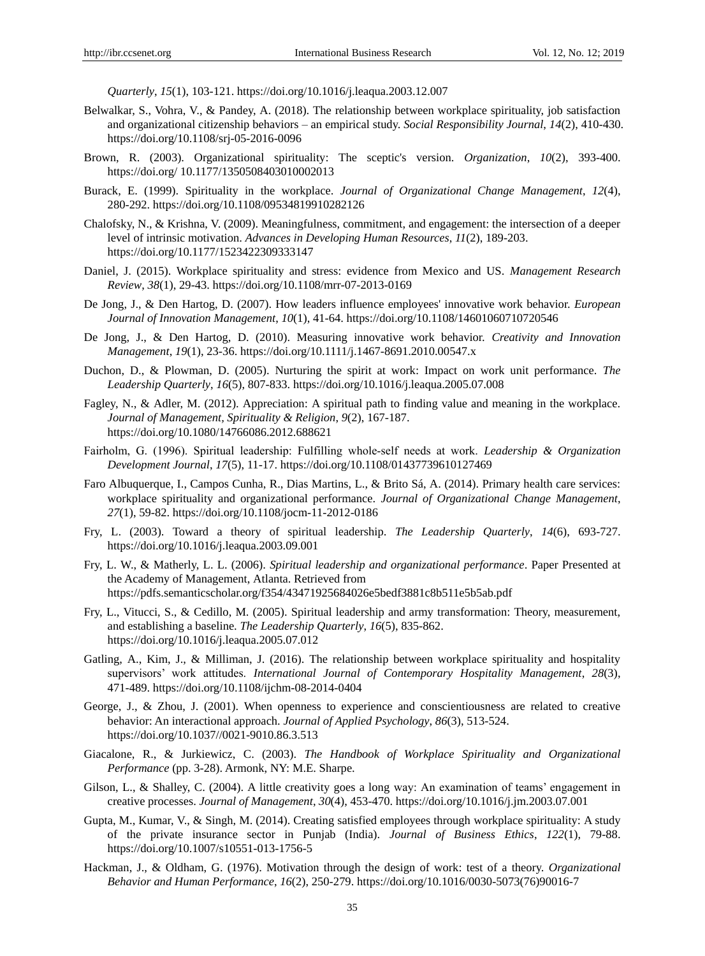*Quarterly*, *15*(1), 103-121. [https://doi.org/1](https://doi.org/)0.1016/j.leaqua.2003.12.007

- Belwalkar, S., Vohra, V., & Pandey, A. (2018). The relationship between workplace spirituality, job satisfaction and organizational citizenship behaviors – an empirical study. *Social Responsibility Journal*, *14*(2), 410-430. [https://doi.org/1](https://doi.org/)0.1108/srj-05-2016-0096
- Brown, R. (2003). Organizational spirituality: The sceptic's version. *Organization*, *10*(2), 393-400. <https://doi.org/> 10.1177/1350508403010002013
- Burack, E. (1999). Spirituality in the workplace. *Journal of Organizational Change Management*, *12*(4), 280-292. [https://doi.org/1](https://doi.org/)0.1108/09534819910282126
- Chalofsky, N., & Krishna, V. (2009). Meaningfulness, commitment, and engagement: the intersection of a deeper level of intrinsic motivation. *Advances in Developing Human Resources*, *11*(2), 189-203. [https://doi.org/1](https://doi.org/)0.1177/1523422309333147
- Daniel, J. (2015). Workplace spirituality and stress: evidence from Mexico and US. *Management Research Review*, *38*(1), 29-43. [https://doi.org/1](https://doi.org/)0.1108/mrr-07-2013-0169
- De Jong, J., & Den Hartog, D. (2007). How leaders influence employees' innovative work behavior. *European Journal of Innovation Management*, *10*(1), 41-64. [https://doi.org/1](https://doi.org/)0.1108/14601060710720546
- De Jong, J., & Den Hartog, D. (2010). Measuring innovative work behavior. *Creativity and Innovation Management*, *19*(1), 23-36. [https://doi.org/1](https://doi.org/)0.1111/j.1467-8691.2010.00547.x
- Duchon, D., & Plowman, D. (2005). Nurturing the spirit at work: Impact on work unit performance. *The Leadership Quarterly*, *16*(5), 807-833. [https://doi.org/1](https://doi.org/)0.1016/j.leaqua.2005.07.008
- Fagley, N., & Adler, M. (2012). Appreciation: A spiritual path to finding value and meaning in the workplace. *Journal of Management, Spirituality & Religion*, *9*(2), 167-187. [https://doi.org/1](https://doi.org/)0.1080/14766086.2012.688621
- Fairholm, G. (1996). Spiritual leadership: Fulfilling whole‐self needs at work. *Leadership & Organization Development Journal*, *17*(5), 11-17. [https://doi.org/1](https://doi.org/)0.1108/01437739610127469
- Faro Albuquerque, I., Campos Cunha, R., Dias Martins, L., & Brito Sá, A. (2014). Primary health care services: workplace spirituality and organizational performance. *Journal of Organizational Change Management*, *27*(1), 59-82. [https://doi.org/1](https://doi.org/)0.1108/jocm-11-2012-0186
- Fry, L. (2003). Toward a theory of spiritual leadership. *The Leadership Quarterly*, *14*(6), 693-727. [https://doi.org/1](https://doi.org/)0.1016/j.leaqua.2003.09.001
- Fry, L. W., & Matherly, L. L. (2006). *Spiritual leadership and organizational performance*. Paper Presented at the Academy of Management, Atlanta. Retrieved from https://pdfs.semanticscholar.org/f354/43471925684026e5bedf3881c8b511e5b5ab.pdf
- Fry, L., Vitucci, S., & Cedillo, M. (2005). Spiritual leadership and army transformation: Theory, measurement, and establishing a baseline. *The Leadership Quarterly*, *16*(5), 835-862. [https://doi.org/1](https://doi.org/)0.1016/j.leaqua.2005.07.012
- Gatling, A., Kim, J., & Milliman, J. (2016). The relationship between workplace spirituality and hospitality supervisors' work attitudes. *International Journal of Contemporary Hospitality Management*, *28*(3), 471-489. [https://doi.org/1](https://doi.org/)0.1108/ijchm-08-2014-0404
- George, J., & Zhou, J. (2001). When openness to experience and conscientiousness are related to creative behavior: An interactional approach. *Journal of Applied Psychology*, *86*(3), 513-524. [https://doi.org/1](https://doi.org/)0.1037//0021-9010.86.3.513
- Giacalone, R., & Jurkiewicz, C. (2003). *The Handbook of Workplace Spirituality and Organizational Performance* (pp. 3-28). Armonk, NY: M.E. Sharpe.
- Gilson, L., & Shalley, C. (2004). A little creativity goes a long way: An examination of teams' engagement in creative processes. *Journal of Management*, *30*(4), 453-470. [https://doi.org/1](https://doi.org/)0.1016/j.jm.2003.07.001
- Gupta, M., Kumar, V., & Singh, M. (2014). Creating satisfied employees through workplace spirituality: A study of the private insurance sector in Punjab (India). *Journal of Business Ethics*, *122*(1), 79-88. [https://doi.org/1](https://doi.org/)0.1007/s10551-013-1756-5
- Hackman, J., & Oldham, G. (1976). Motivation through the design of work: test of a theory. *Organizational Behavior and Human Performance*, *16*(2), 250-279[. https://doi.org/1](https://doi.org/)0.1016/0030-5073(76)90016-7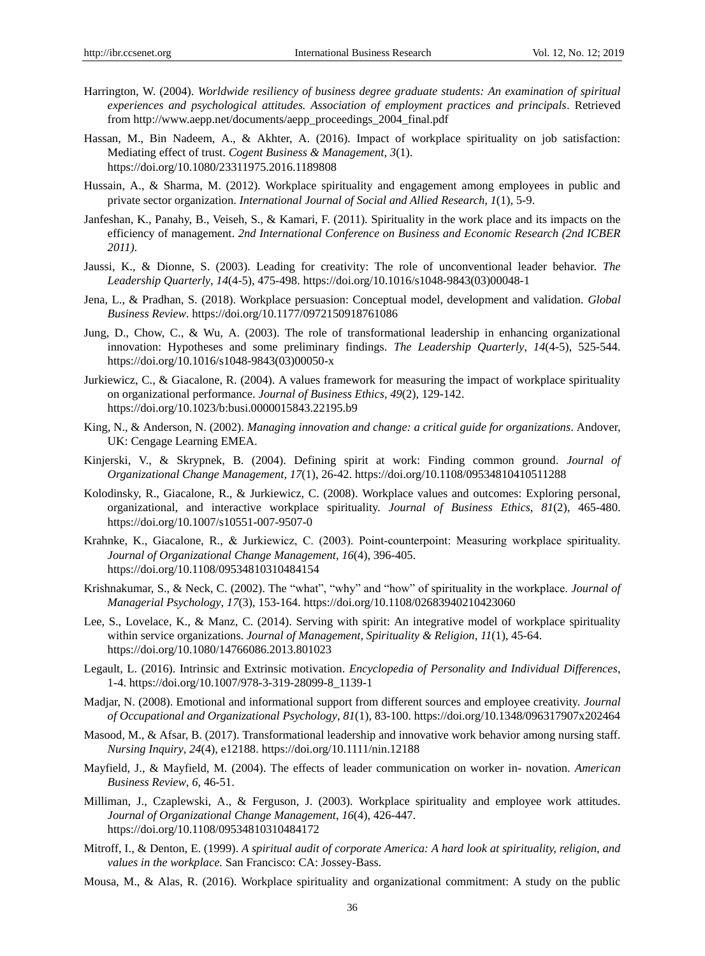- Harrington, W. (2004). *Worldwide resiliency of business degree graduate students: An examination of spiritual experiences and psychological attitudes. Association of employment practices and principals*. Retrieved from http://www.aepp.net/documents/aepp\_proceedings\_2004\_final.pdf
- Hassan, M., Bin Nadeem, A., & Akhter, A. (2016). Impact of workplace spirituality on job satisfaction: Mediating effect of trust. *Cogent Business & Management*, *3*(1). [https://doi.org/1](https://doi.org/)0.1080/23311975.2016.1189808
- Hussain, A., & Sharma, M. (2012). Workplace spirituality and engagement among employees in public and private sector organization. *International Journal of Social and Allied Research*, *1*(1), 5-9.
- Janfeshan, K., Panahy, B., Veiseh, S., & Kamari, F. (2011). Spirituality in the work place and its impacts on the efficiency of management. *2nd International Conference on Business and Economic Research (2nd ICBER 2011)*.
- Jaussi, K., & Dionne, S. (2003). Leading for creativity: The role of unconventional leader behavior. *The Leadership Quarterly*, *14*(4-5), 475-498. [https://doi.org/1](https://doi.org/)0.1016/s1048-9843(03)00048-1
- Jena, L., & Pradhan, S. (2018). Workplace persuasion: Conceptual model, development and validation. *Global Business Review*. [https://doi.org/1](https://doi.org/)0.1177/0972150918761086
- Jung, D., Chow, C., & Wu, A. (2003). The role of transformational leadership in enhancing organizational innovation: Hypotheses and some preliminary findings. *The Leadership Quarterly*, *14*(4-5), 525-544. [https://doi.org/1](https://doi.org/)0.1016/s1048-9843(03)00050-x
- Jurkiewicz, C., & Giacalone, R. (2004). A values framework for measuring the impact of workplace spirituality on organizational performance. *Journal of Business Ethics*, *49*(2), 129-142. [https://doi.org/1](https://doi.org/)0.1023/b:busi.0000015843.22195.b9
- King, N., & Anderson, N. (2002). *Managing innovation and change: a critical guide for organizations*. Andover, UK: Cengage Learning EMEA.
- Kinjerski, V., & Skrypnek, B. (2004). Defining spirit at work: Finding common ground. *Journal of Organizational Change Management*, *17*(1), 26-42. [https://doi.org/1](https://doi.org/)0.1108/09534810410511288
- Kolodinsky, R., Giacalone, R., & Jurkiewicz, C. (2008). Workplace values and outcomes: Exploring personal, organizational, and interactive workplace spirituality. *Journal of Business Ethics*, *81*(2), 465-480. [https://doi.org/1](https://doi.org/)0.1007/s10551-007-9507-0
- Krahnke, K., Giacalone, R., & Jurkiewicz, C. (2003). Point‐counterpoint: Measuring workplace spirituality. *Journal of Organizational Change Management*, *16*(4), 396-405. [https://doi.org/1](https://doi.org/)0.1108/09534810310484154
- Krishnakumar, S., & Neck, C. (2002). The "what", "why" and "how" of spirituality in the workplace. *Journal of Managerial Psychology*, *17*(3), 153-164[. https://doi.org/1](https://doi.org/)0.1108/02683940210423060
- Lee, S., Lovelace, K., & Manz, C. (2014). Serving with spirit: An integrative model of workplace spirituality within service organizations. *Journal of Management, Spirituality & Religion*, *11*(1), 45-64. [https://doi.org/1](https://doi.org/)0.1080/14766086.2013.801023
- Legault, L. (2016). Intrinsic and Extrinsic motivation. *Encyclopedia of Personality and Individual Differences*, 1-4. [https://doi.org/1](https://doi.org/)0.1007/978-3-319-28099-8\_1139-1
- Madjar, N. (2008). Emotional and informational support from different sources and employee creativity. *Journal of Occupational and Organizational Psychology*, *81*(1), 83-100. [https://doi.org/1](https://doi.org/)0.1348/096317907x202464
- Masood, M., & Afsar, B. (2017). Transformational leadership and innovative work behavior among nursing staff. *Nursing Inquiry*, *24*(4), e12188. [https://doi.org/1](https://doi.org/)0.1111/nin.12188
- Mayfield, J., & Mayfield, M. (2004). The effects of leader communication on worker in- novation. *American Business Review*, *6*, 46-51.
- Milliman, J., Czaplewski, A., & Ferguson, J. (2003). Workplace spirituality and employee work attitudes. *Journal of Organizational Change Management*, *16*(4), 426-447. [https://doi.org/1](https://doi.org/)0.1108/09534810310484172
- Mitroff, I., & Denton, E. (1999). *A spiritual audit of corporate America: A hard look at spirituality, religion, and values in the workplace.* San Francisco: CA: Jossey-Bass.
- Mousa, M., & Alas, R. (2016). Workplace spirituality and organizational commitment: A study on the public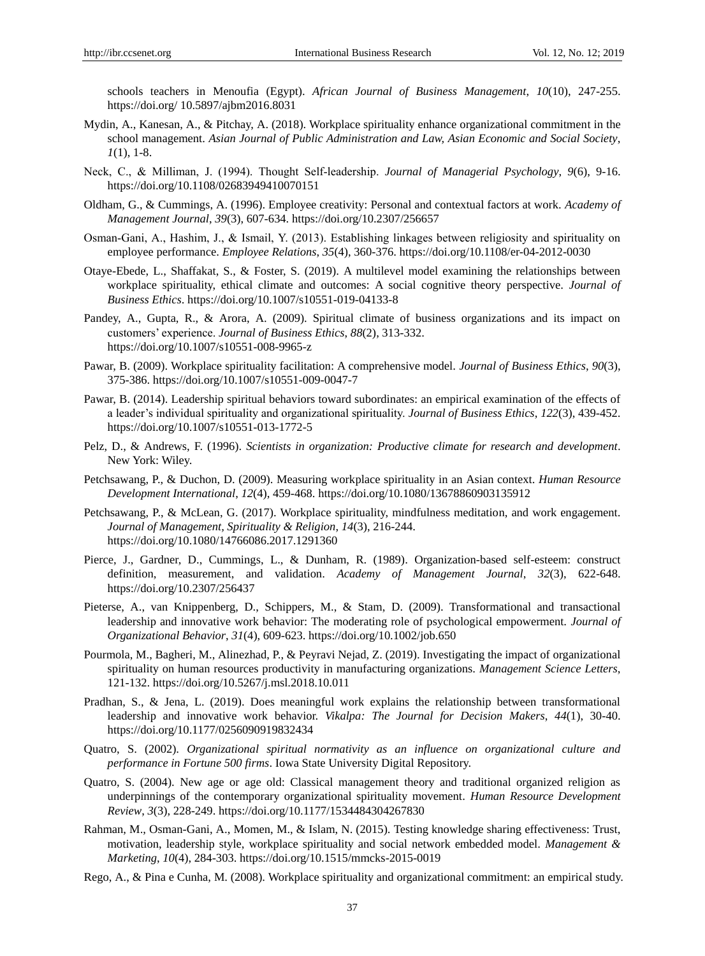schools teachers in Menoufia (Egypt). *African Journal of Business Management*, *10*(10), 247-255. <https://doi.org/> 10.5897/ajbm2016.8031

- Mydin, A., Kanesan, A., & Pitchay, A. (2018). Workplace spirituality enhance organizational commitment in the school management. *Asian Journal of Public Administration and Law, Asian Economic and Social Society*, *1*(1), 1-8.
- Neck, C., & Milliman, J. (1994). Thought Self‐leadership. *Journal of Managerial Psychology*, *9*(6), 9-16. [https://doi.org/1](https://doi.org/)0.1108/02683949410070151
- Oldham, G., & Cummings, A. (1996). Employee creativity: Personal and contextual factors at work. *Academy of Management Journal*, *39*(3), 607-634[. https://doi.org/1](https://doi.org/)0.2307/256657
- Osman‐Gani, A., Hashim, J., & Ismail, Y. (2013). Establishing linkages between religiosity and spirituality on employee performance. *Employee Relations*, *35*(4), 360-376[. https://doi.org/1](https://doi.org/)0.1108/er-04-2012-0030
- Otaye-Ebede, L., Shaffakat, S., & Foster, S. (2019). A multilevel model examining the relationships between workplace spirituality, ethical climate and outcomes: A social cognitive theory perspective. *Journal of Business Ethics*.<https://doi.org/10.1007/s10551-019-04133-8>
- Pandey, A., Gupta, R., & Arora, A. (2009). Spiritual climate of business organizations and its impact on customers' experience. *Journal of Business Ethics*, *88*(2), 313-332. [https://doi.org/1](https://doi.org/)0.1007/s10551-008-9965-z
- Pawar, B. (2009). Workplace spirituality facilitation: A comprehensive model. *Journal of Business Ethics*, *90*(3), 375-386. [https://doi.org/1](https://doi.org/)0.1007/s10551-009-0047-7
- Pawar, B. (2014). Leadership spiritual behaviors toward subordinates: an empirical examination of the effects of a leader's individual spirituality and organizational spirituality. *Journal of Business Ethics*, *122*(3), 439-452. [https://doi.org/1](https://doi.org/)0.1007/s10551-013-1772-5
- Pelz, D., & Andrews, F. (1996). *Scientists in organization: Productive climate for research and development*. New York: Wiley.
- Petchsawang, P., & Duchon, D. (2009). Measuring workplace spirituality in an Asian context. *Human Resource Development International*, *12*(4), 459-468. [https://doi.org/1](https://doi.org/)0.1080/13678860903135912
- Petchsawang, P., & McLean, G. (2017). Workplace spirituality, mindfulness meditation, and work engagement. *Journal of Management, Spirituality & Religion*, *14*(3), 216-244. <https://doi.org/10.1080/14766086.2017.1291360>
- Pierce, J., Gardner, D., Cummings, L., & Dunham, R. (1989). Organization-based self-esteem: construct definition, measurement, and validation. *Academy of Management Journal*, *32*(3), 622-648. [https://doi.org/1](https://doi.org/)0.2307/256437
- Pieterse, A., van Knippenberg, D., Schippers, M., & Stam, D. (2009). Transformational and transactional leadership and innovative work behavior: The moderating role of psychological empowerment. *Journal of Organizational Behavior*, *31*(4), 609-623. [https://doi.org/1](https://doi.org/)0.1002/job.650
- Pourmola, M., Bagheri, M., Alinezhad, P., & Peyravi Nejad, Z. (2019). Investigating the impact of organizational spirituality on human resources productivity in manufacturing organizations. *Management Science Letters*, 121-132. [https://doi.org/1](https://doi.org/)0.5267/j.msl.2018.10.011
- Pradhan, S., & Jena, L. (2019). Does meaningful work explains the relationship between transformational leadership and innovative work behavior. *Vikalpa: The Journal for Decision Makers*, *44*(1), 30-40. <https://doi.org/10.1177/0256090919832434>
- Quatro, S. (2002). *Organizational spiritual normativity as an influence on organizational culture and performance in Fortune 500 firms*. Iowa State University Digital Repository.
- Quatro, S. (2004). New age or age old: Classical management theory and traditional organized religion as underpinnings of the contemporary organizational spirituality movement. *Human Resource Development Review*, *3*(3), 228-249. [https://doi.org/1](https://doi.org/)0.1177/1534484304267830
- Rahman, M., Osman-Gani, A., Momen, M., & Islam, N. (2015). Testing knowledge sharing effectiveness: Trust, motivation, leadership style, workplace spirituality and social network embedded model. *Management & Marketing*, *10*(4), 284-303[. https://doi.org/1](https://doi.org/)0.1515/mmcks-2015-0019
- Rego, A., & Pina e Cunha, M. (2008). Workplace spirituality and organizational commitment: an empirical study.